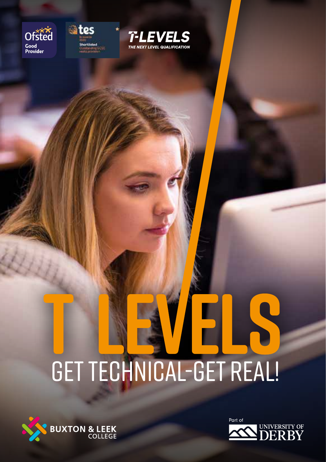





# Get Technical-Get Real!



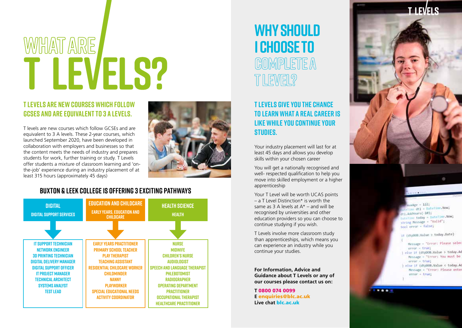# WHAT ARE<br>
T LEVELS?

#### **T levels are new courses which follow GCSEs and are equivalent to 3 A levels.**

T levels are new courses which follow GCSEs and are equivalent to 3 A levels. These 2-year courses, which launched September 2020, have been developed in collaboration with employers and businesses so that the content meets the needs of industry and prepares students for work, further training or study. T Levels offer students a mixture of classroom learning and 'onthe-job' experience during an industry placement of at least 315 hours (approximately 45 days)



#### **Buxton & Leek College is offering 3 exciting pathways**



### **WHY SHOULD I CHOOSE TO COMPLETE A T LEVEL?**

#### **T Levels give you the chance to learn what a real career is like while you continue your studies.**

Your industry placement will last for at least 45 days and allows you develop skills within your chosen career

You will get a nationally recognised and well- respected qualification to help you move into skilled employment or a higher apprenticeship

Your T Level will be worth UCAS points  $-$  a T Level Distinction\* is worth the same as 3 A levels at  $A^*$  – and will be recognised by universities and other education providers so you can choose to continue studying if you wish.

T Levels involve more classroom study than apprenticeships, which means you can experience an industry while you continue your studies.

**For Information, Advice and Guidance about T Levels or any of our courses please contact us on:**

**T** 0800 074 0099 **E** enquiries@blc.ac.uk **Live chat** blc.ac.uk



 $-1221$ me dtl - DateTime,Now; iri AddYears(-10); Dateline today - Dateline MOW; string Message = "Valid"; mool error - false;

If (dtpDOB.Value > today.Date) Message = "Error: Please selec

 $error = true$ } else if (dtpDOB.Value > today.Ao Message - "Error: You must be error - true ) else if (dtpDOB.Value < today.A Message = "Error: Please enter

 $error - true$ 

1208070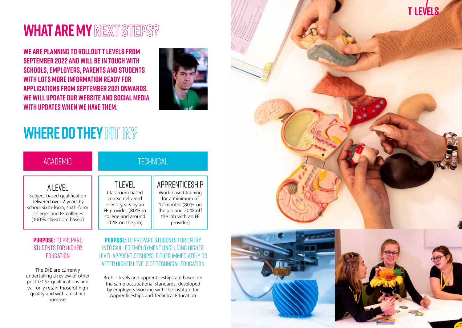## **WHAT ARE MY NEXT STEPS?**

**We are planning to rollout T levels from September 2022 and will be in touch with schools, employers, parents and students with lots more information ready for applications from September 2021 onwards. We will update our website and social media with updates when we have them.**



# **WHERE DO THEY FIT IN?**

| ACADEMIC                                                                                                                                                    | <b>TECHNICAL</b>                                                                                                                           |                                                                                                                                          |
|-------------------------------------------------------------------------------------------------------------------------------------------------------------|--------------------------------------------------------------------------------------------------------------------------------------------|------------------------------------------------------------------------------------------------------------------------------------------|
| A I FVFI<br>Subject based qualification<br>delivered over 2 years by<br>school sixth-form, sixth-form<br>colleges and FE colleges<br>(100% classroom based) | <b>TIEVEL</b><br>Classroom based<br>course delivered<br>over 2 years by an<br>FE provider (80% in<br>college and around<br>20% on the job) | APPRENTICESHIP<br>Work based training<br>for a minimum of<br>12 months (80% on<br>the job and 20% off<br>the job with an FE<br>provider) |

#### **Purpose:** to prepare students for higher **EDUCATION**

The DfE are currently undertaking a review of other post-GCSE qualifications and will only retain those of high quality and with a distinct purpose.

#### **Purpose:** To prepare students for entry into skilled employment (including higher level apprenticeships), either immediately or after higher levels of technical education

Both T levels and apprenticeships are based on the same occupational standards, developed by employers working with the institute for Apprenticeships and Technical Education





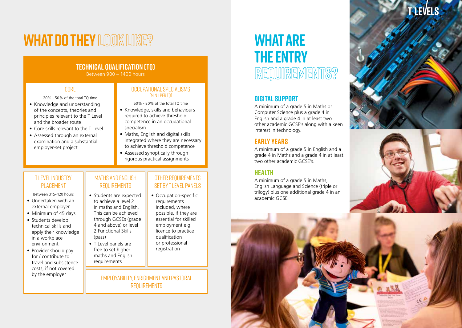# **WHAT DO THEY LOOK LIKE?**

#### **Technical Qualification (TQ)**

Between 900 – 1400 hours

#### **CORE**

20% - 50% of the total TQ time

- Knowledge and understanding of the concepts, theories and principles relevant to the T Level and the broader route
- Core skills relevant to the T Level
- Assessed through an external examination and a substantial employer-set project

#### Occupational Specialisms (min: 1 per TQ)

50% - 80% of the total TQ time

- Knowledge, skills and behaviours required to achieve threshold competence in an occupational specialism
- Maths, English and digital skills integrated where they are necessary to achieve threshold competence
- Assessed synoptically through rigorous practical assignments

#### T level Industry PI ACFMENT

Between 315-420 hours

- Undertaken with an external employer
- Minimum of 45 days
- Students develop technical skills and apply their knowledge in a workplace environment
- Provider should pay for / contribute to travel and subsistence costs, if not covered by the employer

#### Maths and English **REQUIREMENTS**

- Students are expected to achieve a level 2 in maths and English. This can be achieved through GCSEs (grade 4 and above) or level 2 Functional Skills (pass)
- T Level panels are free to set higher maths and English requirements

#### Other requirements SET BY TI FVFL PANELS

• Occupation-specific requirements included, where possible, if they are essential for skilled employment e.g. licence to practice qualification or professional registration

Employability, enrichment and pastoral **REQUIREMENTS** 

### **WHAT ARE THE ENTRY REQUIREMENTS?**

#### **Digital Support**

A minimum of a grade 5 in Maths or Computer Science plus a grade 4 in English and a grade 4 in at least two other academic GCSE's along with a keen interest in technology.

#### **Early Years**

A minimum of a grade 5 in English and a grade 4 in Maths and a grade 4 in at least two other academic GCSE's.

#### **Health**

A minimum of a grade 5 in Maths, English Language and Science (triple or trilogy) plus one additional grade 4 in an academic GCSE

# **T LEVELS**